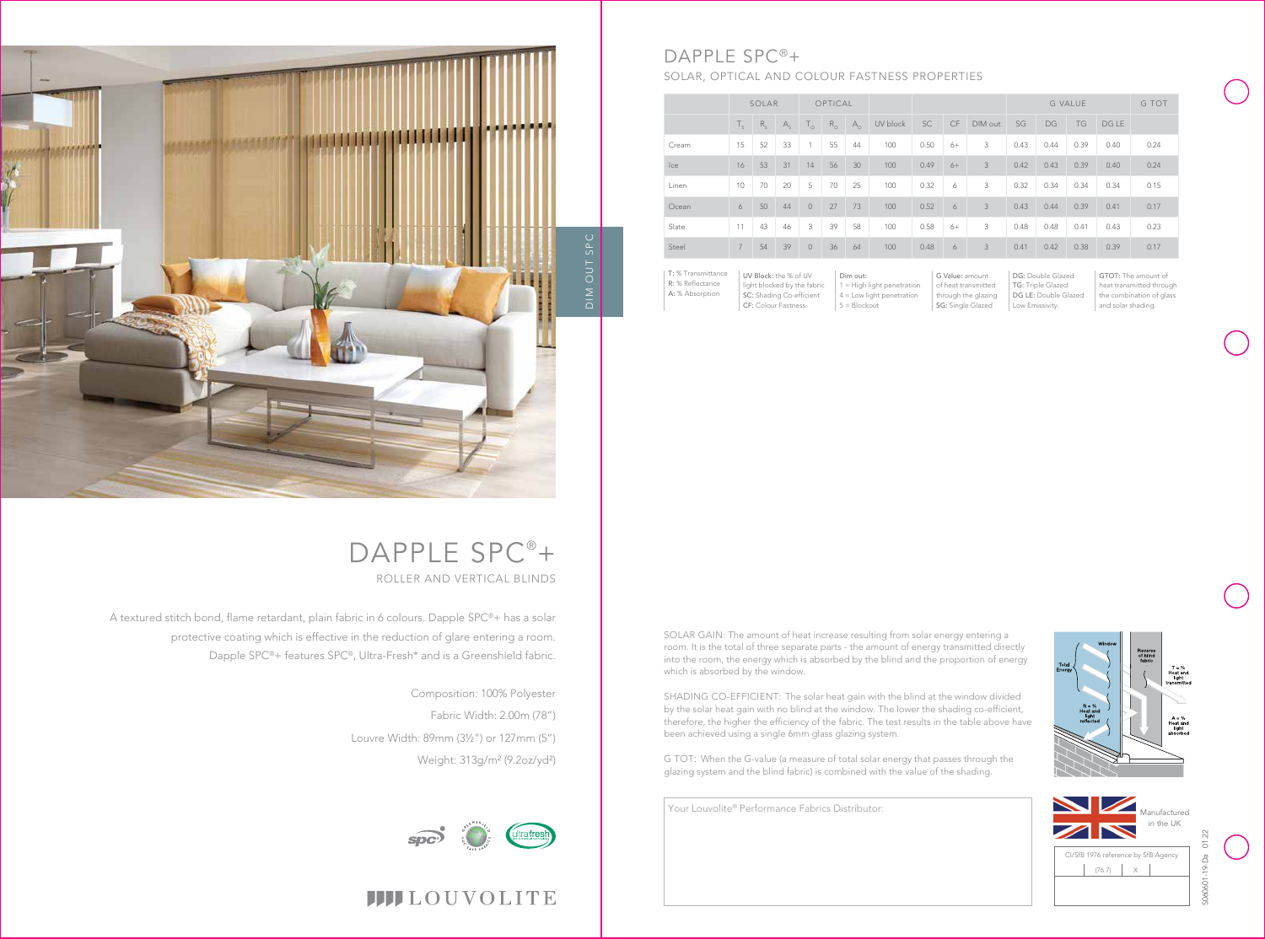

 $T = %$ <br>Heat and<br>light





## **IIII**LOUVOLITE

Your Louvolite® Performance Fabrics Distributor:

|       | SOLAR          |         |         | OPTICAL        |             |            |          |           |           |         | <b>G VALUE</b> |      |           |       | G TOT |
|-------|----------------|---------|---------|----------------|-------------|------------|----------|-----------|-----------|---------|----------------|------|-----------|-------|-------|
|       | $T_{c}$        | $R_{c}$ | $A_{s}$ | $T_{\circ}$    | $R_{\odot}$ | $A_{\cap}$ | UV block | <b>SC</b> | <b>CF</b> | DIM out | SG             | DG   | <b>TG</b> | DG LE |       |
| Cream | 15             | 52      | 33      | $\overline{1}$ | 55          | 44         | 100      | 0.50      | $6+$      | 3       | 0.43           | 0.44 | 0.39      | 0.40  | 0.24  |
| Ice   | 16             | 53      | 31      | 14             | 56          | 30         | 100      | 0.49      | $6+$      | 3       | 0.42           | 0.43 | 0.39      | 0.40  | 0.24  |
| Linen | 10             | 70      | 20      | 5              | 70          | 25         | 100      | 0.32      | 6         | 3       | 0.32           | 0.34 | 0.34      | 0.34  | 0.15  |
| Ocean | 6              | 50      | 44      | $\circ$        | 27          | 73         | 100      | 0.52      | 6         | 3       | 0.43           | 0.44 | 0.39      | 0.41  | 0.17  |
| Slate | 11             | 43      | 46      | 3              | 39          | 58         | 100      | 0.58      | $6+$      | 3       | 0.48           | 0.48 | 0.41      | 0.43  | 0.23  |
| Steel | $\overline{7}$ | 54      | 39      | $\circ$        | 36          | 64         | 100      | 0.48      | 6         | 3       | 0.41           | 0.42 | 0.38      | 0.39  | 0.17  |

DG: Double Glazed TG: Triple Glazed DG LE: Double Glazed Low Emissivity.

| T: % Transmittance | UV Block: the % of UV       | Dim out:                     |
|--------------------|-----------------------------|------------------------------|
| R: % Reflectance   | light blocked by the fabric | $1 =$ High light penetration |
| A: % Absorption    | SC: Shading Co-efficient    | $4 =$ Low light penetration  |
|                    | <b>CF: Colour Fastness</b>  | $5 = Blockout$               |

# DAPPLE SPC<sup>®</sup>+ ROLLER AND VERTICAL BLINDS

G Value: amount of heat transmitted through the glazing SG: Single Glazed

GTOT: The amount of heat transmitted through the combination of glass and solar shading.



## DAPPLE SPC®+ SOLAR, OPTICAL AND COLOUR FASTNESS PROPERTIES



A textured stitch bond, flame retardant, plain fabric in 6 colours. Dapple SPC®+ has a solar protective coating which is effective in the reduction of glare entering a room. Dapple SPC®+ features SPC®, Ultra-Fresh\* and is a Greenshield fabric.

> Composition: 100% Polyester Fabric Width: 2.00m (78") Louvre Width: 89mm (3½") or 127mm (5") Weight: 313g/m² (9.2oz/yd²)

SOLAR GAIN: The amount of heat increase resulting from solar energy entering a room. It is the total of three separate parts - the amount of energy transmitted directly into the room, the energy which is absorbed by the blind and the proportion of energy which is absorbed by the window.

SHADING CO-EFFICIENT: The solar heat gain with the blind at the window divided by the solar heat gain with no blind at the window. The lower the shading co-efficient, therefore, the higher the efficiency of the fabric. The test results in the table above have been achieved using a single 6mm glass glazing system.

G TOT: When the G-value (a measure of total solar energy that passes through the glazing system and the blind fabric) is combined with the value of the shading.